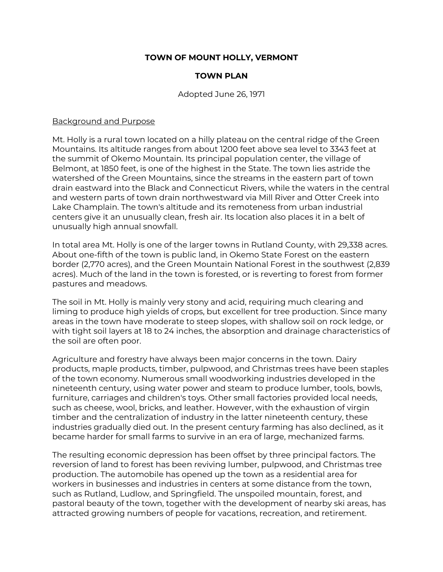# **TOWN OF MOUNT HOLLY, VERMONT**

## **TOWN PLAN**

#### Adopted June 26, 1971

#### Background and Purpose

Mt. Holly is a rural town located on a hilly plateau on the central ridge of the Green Mountains. Its altitude ranges from about 1200 feet above sea level to 3343 feet at the summit of Okemo Mountain. Its principal population center, the village of Belmont, at 1850 feet, is one of the highest in the State. The town lies astride the watershed of the Green Mountains, since the streams in the eastern part of town drain eastward into the Black and Connecticut Rivers, while the waters in the central and western parts of town drain northwestward via Mill River and Otter Creek into Lake Champlain. The town's altitude and its remoteness from urban industrial centers give it an unusually clean, fresh air. Its location also places it in a belt of unusually high annual snowfall.

In total area Mt. Holly is one of the larger towns in Rutland County, with 29,338 acres. About one-fifth of the town is public land, in Okemo State Forest on the eastern border (2,770 acres), and the Green Mountain National Forest in the southwest (2,839 acres). Much of the land in the town is forested, or is reverting to forest from former pastures and meadows.

The soil in Mt. Holly is mainly very stony and acid, requiring much clearing and liming to produce high yields of crops, but excellent for tree production. Since many areas in the town have moderate to steep slopes, with shallow soil on rock ledge, or with tight soil layers at 18 to 24 inches, the absorption and drainage characteristics of the soil are often poor.

Agriculture and forestry have always been major concerns in the town. Dairy products, maple products, timber, pulpwood, and Christmas trees have been staples of the town economy. Numerous small woodworking industries developed in the nineteenth century, using water power and steam to produce lumber, tools, bowls, furniture, carriages and children's toys. Other small factories provided local needs, such as cheese, wool, bricks, and leather. However, with the exhaustion of virgin timber and the centralization of industry in the latter nineteenth century, these industries gradually died out. In the present century farming has also declined, as it became harder for small farms to survive in an era of large, mechanized farms.

The resulting economic depression has been offset by three principal factors. The reversion of land to forest has been reviving lumber, pulpwood, and Christmas tree production. The automobile has opened up the town as a residential area for workers in businesses and industries in centers at some distance from the town, such as Rutland, Ludlow, and Springfield. The unspoiled mountain, forest, and pastoral beauty of the town, together with the development of nearby ski areas, has attracted growing numbers of people for vacations, recreation, and retirement.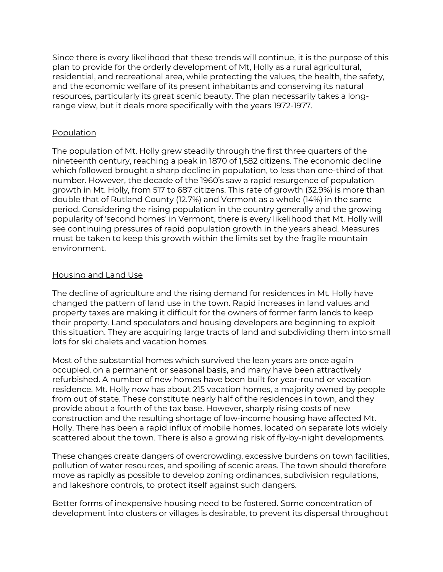Since there is every likelihood that these trends will continue, it is the purpose of this plan to provide for the orderly development of Mt, Holly as a rural agricultural, residential, and recreational area, while protecting the values, the health, the safety, and the economic welfare of its present inhabitants and conserving its natural resources, particularly its great scenic beauty. The plan necessarily takes a longrange view, but it deals more specifically with the years 1972-1977.

## Population

The population of Mt. Holly grew steadily through the first three quarters of the nineteenth century, reaching a peak in 1870 of 1,582 citizens. The economic decline which followed brought a sharp decline in population, to less than one-third of that number. However, the decade of the 1960's saw a rapid resurgence of population growth in Mt. Holly, from 517 to 687 citizens. This rate of growth (32.9%) is more than double that of Rutland County (12.7%) and Vermont as a whole (14%) in the same period. Considering the rising population in the country generally and the growing popularity of 'second homes' in Vermont, there is every likelihood that Mt. Holly will see continuing pressures of rapid population growth in the years ahead. Measures must be taken to keep this growth within the limits set by the fragile mountain environment.

# Housing and Land Use

The decline of agriculture and the rising demand for residences in Mt. Holly have changed the pattern of land use in the town. Rapid increases in land values and property taxes are making it difficult for the owners of former farm lands to keep their property. Land speculators and housing developers are beginning to exploit this situation. They are acquiring large tracts of land and subdividing them into small lots for ski chalets and vacation homes.

Most of the substantial homes which survived the lean years are once again occupied, on a permanent or seasonal basis, and many have been attractively refurbished. A number of new homes have been built for year-round or vacation residence. Mt. Holly now has about 215 vacation homes, a majority owned by people from out of state. These constitute nearly half of the residences in town, and they provide about a fourth of the tax base. However, sharply rising costs of new construction and the resulting shortage of low-income housing have affected Mt. Holly. There has been a rapid influx of mobile homes, located on separate lots widely scattered about the town. There is also a growing risk of fly-by-night developments.

These changes create dangers of overcrowding, excessive burdens on town facilities, pollution of water resources, and spoiling of scenic areas. The town should therefore move as rapidly as possible to develop zoning ordinances, subdivision regulations, and lakeshore controls, to protect itself against such dangers.

Better forms of inexpensive housing need to be fostered. Some concentration of development into clusters or villages is desirable, to prevent its dispersal throughout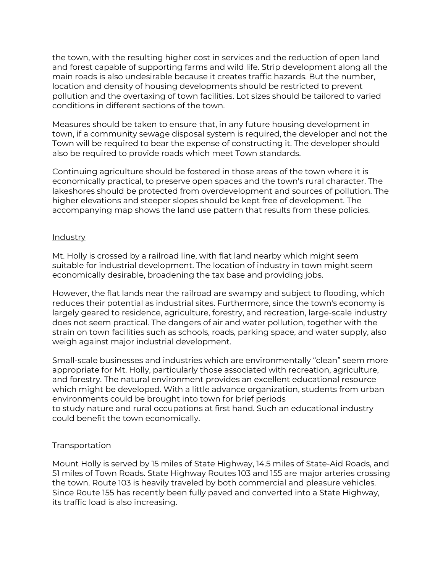the town, with the resulting higher cost in services and the reduction of open land and forest capable of supporting farms and wild life. Strip development along all the main roads is also undesirable because it creates traffic hazards. But the number, location and density of housing developments should be restricted to prevent pollution and the overtaxing of town facilities. Lot sizes should be tailored to varied conditions in different sections of the town.

Measures should be taken to ensure that, in any future housing development in town, if a community sewage disposal system is required, the developer and not the Town will be required to bear the expense of constructing it. The developer should also be required to provide roads which meet Town standards.

Continuing agriculture should be fostered in those areas of the town where it is economically practical, to preserve open spaces and the town's rural character. The lakeshores should be protected from overdevelopment and sources of pollution. The higher elevations and steeper slopes should be kept free of development. The accompanying map shows the land use pattern that results from these policies.

#### Industry

Mt. Holly is crossed by a railroad line, with flat land nearby which might seem suitable for industrial development. The location of industry in town might seem economically desirable, broadening the tax base and providing jobs.

However, the flat lands near the railroad are swampy and subject to flooding, which reduces their potential as industrial sites. Furthermore, since the town's economy is largely geared to residence, agriculture, forestry, and recreation, large-scale industry does not seem practical. The dangers of air and water pollution, together with the strain on town facilities such as schools, roads, parking space, and water supply, also weigh against major industrial development.

Small-scale businesses and industries which are environmentally "clean" seem more appropriate for Mt. Holly, particularly those associated with recreation, agriculture, and forestry. The natural environment provides an excellent educational resource which might be developed. With a little advance organization, students from urban environments could be brought into town for brief periods to study nature and rural occupations at first hand. Such an educational industry could benefit the town economically.

#### Transportation

Mount Holly is served by 15 miles of State Highway, 14.5 miles of State-Aid Roads, and 51 miles of Town Roads. State Highway Routes 103 and 155 are major arteries crossing the town. Route 103 is heavily traveled by both commercial and pleasure vehicles. Since Route 155 has recently been fully paved and converted into a State Highway, its traffic load is also increasing.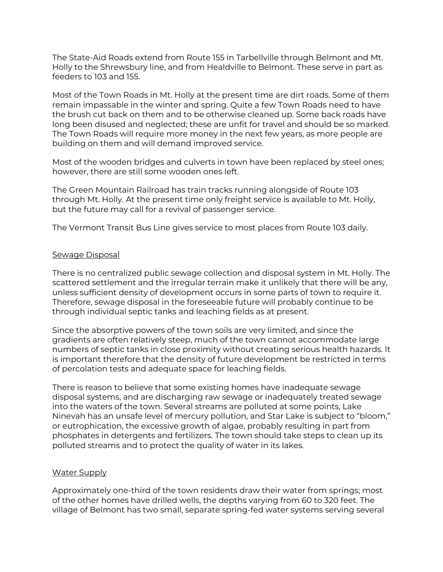The State-Aid Roads extend from Route 155 in Tarbellville through Belmont and Mt. Holly to the Shrewsbury line, and from Healdville to Belmont. These serve in part as feeders to 103 and 155.

Most of the Town Roads in Mt. Holly at the present time are dirt roads. Some of them remain impassable in the winter and spring. Quite a few Town Roads need to have the brush cut back on them and to be otherwise cleaned up. Some back roads have long been disused and neglected; these are unfit for travel and should be so marked. The Town Roads will require more money in the next few years, as more people are building on them and will demand improved service.

Most of the wooden bridges and culverts in town have been replaced by steel ones; however, there are still some wooden ones left.

The Green Mountain Railroad has train tracks running alongside of Route 103 through Mt. Holly. At the present time only freight service is available to Mt. Holly, but the future may call for a revival of passenger service.

The Vermont Transit Bus Line gives service to most places from Route 103 daily.

## Sewage Disposal

There is no centralized public sewage collection and disposal system in Mt. Holly. The scattered settlement and the irregular terrain make it unlikely that there will be any, unless sufficient density of development occurs in some parts of town to require it. Therefore, sewage disposal in the foreseeable future will probably continue to be through individual septic tanks and leaching fields as at present.

Since the absorptive powers of the town soils are very limited, and since the gradients are often relatively steep, much of the town cannot accommodate large numbers of septic tanks in close proximity without creating serious health hazards. It is important therefore that the density of future development be restricted in terms of percolation tests and adequate space for leaching fields.

There is reason to believe that some existing homes have inadequate sewage disposal systems, and are discharging raw sewage or inadequately treated sewage into the waters of the town. Several streams are polluted at some points, Lake Ninevah has an unsafe level of mercury pollution, and Star Lake is subject to "bloom," or eutrophication, the excessive growth of algae, probably resulting in part from phosphates in detergents and fertilizers. The town should take steps to clean up its polluted streams and to protect the quality of water in its lakes.

## Water Supply

Approximately one-third of the town residents draw their water from springs; most of the other homes have drilled wells, the depths varying from 60 to 320 feet. The village of Belmont has two small, separate spring-fed water systems serving several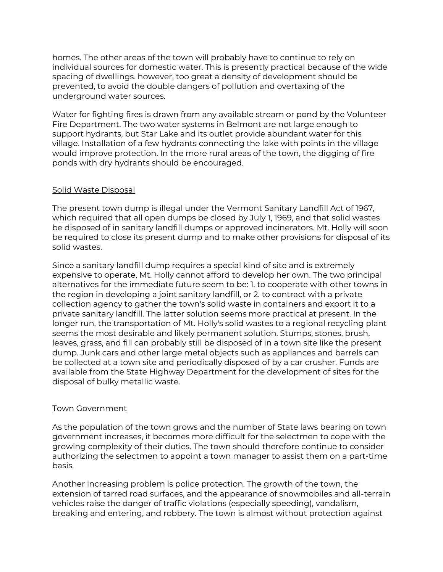homes. The other areas of the town will probably have to continue to rely on individual sources for domestic water. This is presently practical because of the wide spacing of dwellings. however, too great a density of development should be prevented, to avoid the double dangers of pollution and overtaxing of the underground water sources.

Water for fighting fires is drawn from any available stream or pond by the Volunteer Fire Department. The two water systems in Belmont are not large enough to support hydrants, but Star Lake and its outlet provide abundant water for this village. Installation of a few hydrants connecting the lake with points in the village would improve protection. In the more rural areas of the town, the digging of fire ponds with dry hydrants should be encouraged.

# Solid Waste Disposal

The present town dump is illegal under the Vermont Sanitary Landfill Act of 1967, which required that all open dumps be closed by July 1, 1969, and that solid wastes be disposed of in sanitary landfill dumps or approved incinerators. Mt. Holly will soon be required to close its present dump and to make other provisions for disposal of its solid wastes.

Since a sanitary landfill dump requires a special kind of site and is extremely expensive to operate, Mt. Holly cannot afford to develop her own. The two principal alternatives for the immediate future seem to be: 1. to cooperate with other towns in the region in developing a joint sanitary landfill, or 2. to contract with a private collection agency to gather the town's solid waste in containers and export it to a private sanitary landfill. The latter solution seems more practical at present. In the longer run, the transportation of Mt. Holly's solid wastes to a regional recycling plant seems the most desirable and likely permanent solution. Stumps, stones, brush, leaves, grass, and fill can probably still be disposed of in a town site like the present dump. Junk cars and other large metal objects such as appliances and barrels can be collected at a town site and periodically disposed of by a car crusher. Funds are available from the State Highway Department for the development of sites for the disposal of bulky metallic waste.

## Town Government

As the population of the town grows and the number of State laws bearing on town government increases, it becomes more difficult for the selectmen to cope with the growing complexity of their duties. The town should therefore continue to consider authorizing the selectmen to appoint a town manager to assist them on a part-time basis.

Another increasing problem is police protection. The growth of the town, the extension of tarred road surfaces, and the appearance of snowmobiles and all-terrain vehicles raise the danger of traffic violations (especially speeding), vandalism, breaking and entering, and robbery. The town is almost without protection against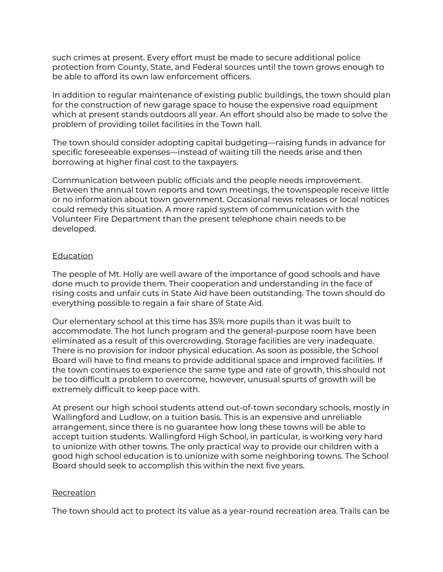such crimes at present. Every effort must be made to secure additional police protection from County, State, and Federal sources until the town grows enough to be able to afford its own law enforcement officers.

In addition to regular maintenance of existing public buildings, the town should plan for the construction of new garage space to house the expensive road equipment which at present stands outdoors all year. An effort should also be made to solve the problem of providing toilet facilities in the Town hall.

The town should consider adopting capital budgeting—raising funds in advance for specific foreseeable expenses—instead of waiting till the needs arise and then borrowing at higher final cost to the taxpayers.

Communication between public officials and the people needs improvement. Between the annual town reports and town meetings, the townspeople receive little or no information about town government. Occasional news releases or local notices could remedy this situation. A more rapid system of communication with the Volunteer Fire Department than the present telephone chain needs to be developed.

# Education

The people of Mt. Holly are well aware of the importance of good schools and have done much to provide them. Their cooperation and understanding in the face of rising costs and unfair cuts in State Aid have been outstanding. The town should do everything possible to regain a fair share of State Aid.

Our elementary school at this time has 35% more pupils than it was built to accommodate. The hot lunch program and the general-purpose room have been eliminated as a result of this overcrowding. Storage facilities are very inadequate. There is no provision for indoor physical education. As soon as possible, the School Board will have to find means to provide additional space and improved facilities. If the town continues to experience the same type and rate of growth, this should not be too difficult a problem to overcome, however, unusual spurts of growth will be extremely difficult to keep pace with.

At present our high school students attend out-of-town secondary schools, mostly in Wallingford and Ludlow, on a tuition basis. This is an expensive and unreliable arrangement, since there is no guarantee how long these towns will be able to accept tuition students. Wallingford High School, in particular, is working very hard to unionize with other towns. The only practical way to provide our children with a good high school education is to unionize with some neighboring towns. The School Board should seek to accomplish this within the next five years.

## **Recreation**

The town should act to protect its value as a year-round recreation area. Trails can be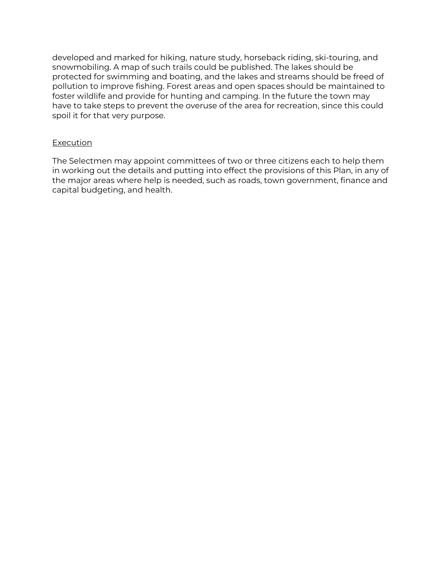developed and marked for hiking, nature study, horseback riding, ski-touring, and snowmobiling. A map of such trails could be published. The lakes should be protected for swimming and boating, and the lakes and streams should be freed of pollution to improve fishing. Forest areas and open spaces should be maintained to foster wildlife and provide for hunting and camping. In the future the town may have to take steps to prevent the overuse of the area for recreation, since this could spoil it for that very purpose.

## Execution

The Selectmen may appoint committees of two or three citizens each to help them in working out the details and putting into effect the provisions of this Plan, in any of the major areas where help is needed, such as roads, town government, finance and capital budgeting, and health.